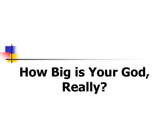# **How Big is Your God, Really?**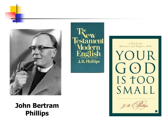

#### **John Bertram Phillips**





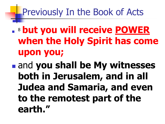#### Previously In the Book of Acts

- <sup>8</sup> **but you will receive POWER when the Holy Spirit has come upon you;**
- and **you shall be My witnesses both in Jerusalem, and in all Judea and Samaria, and even to the remotest part of the earth."**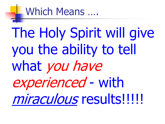#### Which Means ….

The Holy Spirit will give you the ability to tell what you have experienced - with miraculous results!!!!!!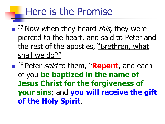#### Here is the Promise

<sup>37</sup> Now when they heard *this*, they were pierced to the heart, and said to Peter and the rest of the apostles, "Brethren, what shall we do?"

■ <sup>38</sup> Peter *said* to them, "**Repent**, and each of you **be baptized in the name of Jesus Christ for the forgiveness of your sins**; and **you will receive the gift of the Holy Spirit**.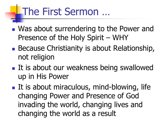### The First Sermon …

- Was about surrendering to the Power and Presence of the Holy Spirit – WHY
- **Because Christianity is about Relationship,** not religion
- **If is about our weakness being swallowed** up in His Power
- $\blacksquare$  It is about miraculous, mind-blowing, life changing Power and Presence of God invading the world, changing lives and changing the world as a result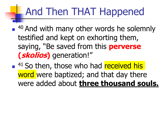# And Then THAT Happened

■ <sup>40</sup> And with many other words he solemnly testified and kept on exhorting them, saying, "Be saved from this **perverse (skolios)** generation!"

<sup>41</sup> So then, those who had received his word were baptized; and that day there were added about **three thousand souls.**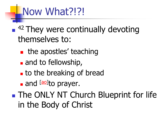#### Now What?!?!

#### ■ <sup>42</sup> They were continually devoting themselves to:

- **the apostles' teaching**
- and to fellowship,
- **to the breaking of bread**
- and **laol**to prayer.

**The ONLY NT Church Blueprint for life** in the Body of Christ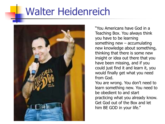#### Walter Heidenreich



"You Americans have God in a Teaching Box. You always think you have to be learning something new – accumulating new knowledge about something, thinking that there is some new insight or idea out there that you have been missing, and if you could just find it and learn it, you would finally get what you need from God.

You are wrong. You don't need to learn something new. You need to be obedient to and start practicing what you already know. Get God out of the Box and let him BE GOD in your life."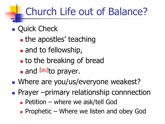## Church Life out of Balance?

- **Quick Check** 
	- **the apostles' teaching**
	- **and to fellowship,**
	- **to the breaking of bread**
	- and **laol** to prayer.
- Where are you/us/everyone weakest?
- **Prayer –primary relationship connnection** 
	- **Petition where we ask/tell God**
	- **Prophetic Where we listen and obey God**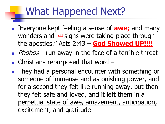### What Happened Next?

- "Everyone kept feeling a sense of **awe;** and many wonders and <sup>[[aq\]](https://www.biblegateway.com/passage/?search=Acts+2&version=NASB#fen-NASB-26993aq)</sup>signs were taking place through the apostles." Acts 2:43 – **God Showed UP!!!!**
- Phobos run away in the face of a terrible threat
- $\blacksquare$  Christians repurposed that word  $\blacksquare$
- **They had a personal encounter with something or** someone of immense and astonishing power, and for a second they felt like running away, but then they felt safe and loved, and it left them in a perpetual state of awe, amazement, anticipation, excitement, and gratitude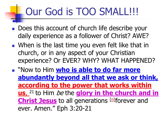### Our God is TOO SMALL!!!

- Does this account of church life describe your daily experience as a follower of Christ? AWE?
- **Notainally 1.5 When is the last time you even felt like that in** church, or in any aspect of your Christian experience? Or EVER? WHY? WHAT HAPPENED?
- **E** "Now to Him who is able to do far more **abundantly beyond all that we ask or think, according to the power that works within**  us, <sup>21</sup> to Him *be* the **glory in the church and in Christ Jesus** to all ge[n](https://www.biblegateway.com/passage/?search=Ephesians+3&version=NASB#fen-NASB-29273n)erations [n] forever and ever. Amen." Eph 3:20-21